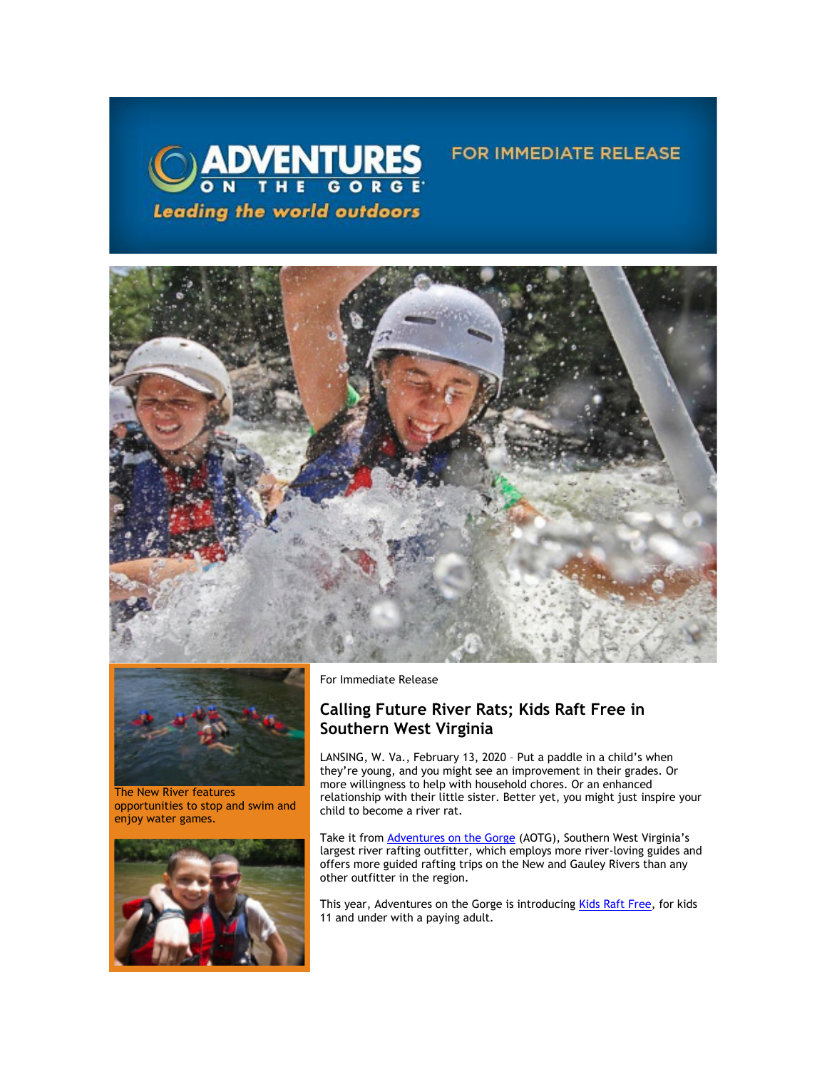



The New River features opportunities to stop and swim and enjoy water games.



For Immediate Release

# **Calling Future River Rats; Kids Raft Free in Southern West Virginia**

LANSING, W. Va., February 13, 2020 – Put a paddle in a child's when they're young, and you might see an improvement in their grades. Or more willingness to help with household chores. Or an enhanced relationship with their little sister. Better yet, you might just inspire your child to become a river rat.

**FOR IMMEDIATE RELEASE** 

Take it from [Adventures on the Gorge](https://click.icptrack.com/icp/relay.php?r=13370550&msgid=447593&act=5AOA&c=1378153&destination=http%3A%2F%2Fwww.adventuresonthegorge.com%2F) (AOTG), Southern West Virginia's largest river rafting outfitter, which employs more river-loving guides and offers more guided rafting trips on the New and Gauley Rivers than any other outfitter in the region.

This year, Adventures on the Gorge is introducin[g Kids Raft Free,](https://click.icptrack.com/icp/relay.php?r=13370550&msgid=447593&act=5AOA&c=1378153&destination=http%3A%2F%2Fwww.kidsraftfree.com%2F) for kids 11 and under with a paying adult.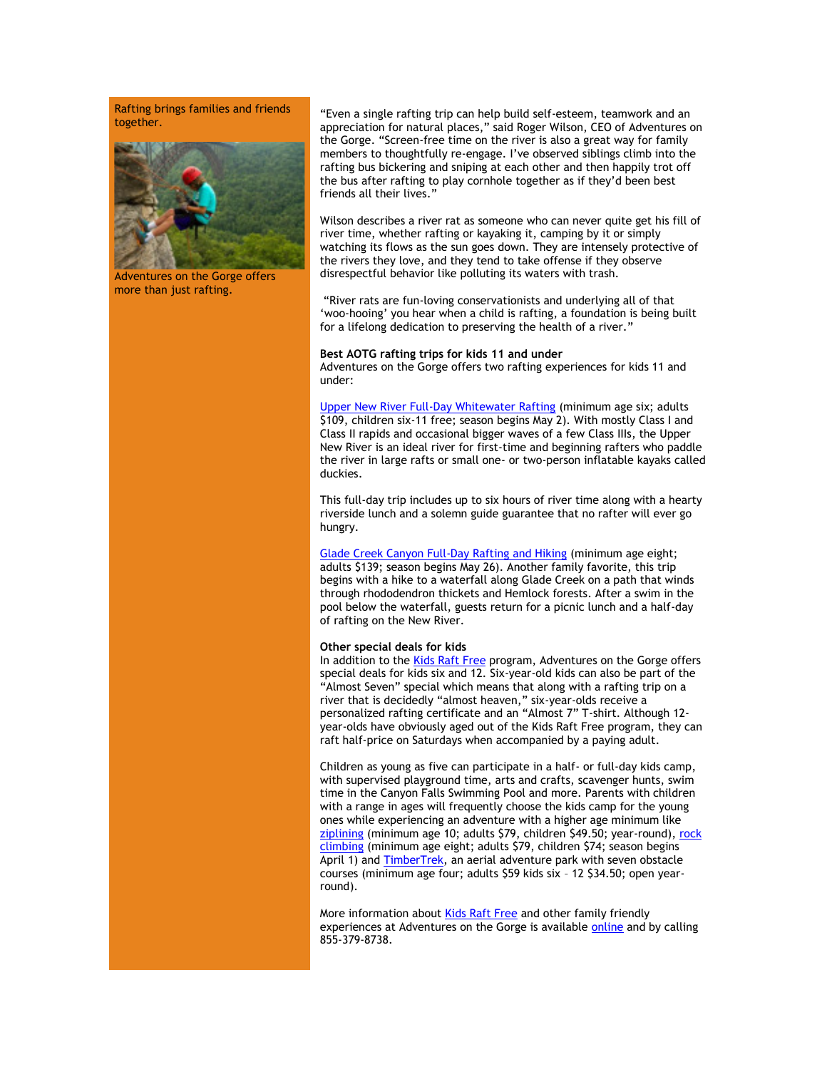Rafting brings families and friends together.



Adventures on the Gorge offers more than just rafting.

"Even a single rafting trip can help build self-esteem, teamwork and an appreciation for natural places," said Roger Wilson, CEO of Adventures on the Gorge. "Screen-free time on the river is also a great way for family members to thoughtfully re-engage. I've observed siblings climb into the rafting bus bickering and sniping at each other and then happily trot off the bus after rafting to play cornhole together as if they'd been best friends all their lives."

Wilson describes a river rat as someone who can never quite get his fill of river time, whether rafting or kayaking it, camping by it or simply watching its flows as the sun goes down. They are intensely protective of the rivers they love, and they tend to take offense if they observe disrespectful behavior like polluting its waters with trash.

"River rats are fun-loving conservationists and underlying all of that 'woo-hooing' you hear when a child is rafting, a foundation is being built for a lifelong dedication to preserving the health of a river."

## **Best AOTG rafting trips for kids 11 and under**

Adventures on the Gorge offers two rafting experiences for kids 11 and under:

[Upper New River Full-Day Whitewater Rafting](https://click.icptrack.com/icp/relay.php?r=13370550&msgid=447593&act=5AOA&c=1378153&destination=https%3A%2F%2Fadventuresonthegorge.com%2Fadventures%2Fwhitewater-rafting%2Fupper-new-river-white-water-rafting%2F) (minimum age six; adults \$109, children six-11 free; season begins May 2). With mostly Class I and Class II rapids and occasional bigger waves of a few Class IIIs, the Upper New River is an ideal river for first-time and beginning rafters who paddle the river in large rafts or small one- or two-person inflatable kayaks called duckies.

This full-day trip includes up to six hours of river time along with a hearty riverside lunch and a solemn guide guarantee that no rafter will ever go hungry.

[Glade Creek Canyon Full-Day Rafting and Hiking](https://click.icptrack.com/icp/relay.php?r=13370550&msgid=447593&act=5AOA&c=1378153&destination=https%3A%2F%2Fadventuresonthegorge.com%2Fadventures%2Fwhitewater-rafting%2Fglade-creek-canyon-rafting-hiking%2F) (minimum age eight; adults \$139; season begins May 26). Another family favorite, this trip begins with a hike to a waterfall along Glade Creek on a path that winds through rhododendron thickets and Hemlock forests. After a swim in the pool below the waterfall, guests return for a picnic lunch and a half-day of rafting on the New River.

#### **Other special deals for kids**

In addition to the [Kids Raft Free](https://click.icptrack.com/icp/relay.php?r=13370550&msgid=447593&act=5AOA&c=1378153&destination=http%3A%2F%2Fwww.kidsraftfree.com%2F) program, Adventures on the Gorge offers special deals for kids six and 12. Six-year-old kids can also be part of the "Almost Seven" special which means that along with a rafting trip on a river that is decidedly "almost heaven," six-year-olds receive a personalized rafting certificate and an "Almost 7" T-shirt. Although 12 year-olds have obviously aged out of the Kids Raft Free program, they can raft half-price on Saturdays when accompanied by a paying adult.

Children as young as five can participate in a half- or full-day kids camp, with supervised playground time, arts and crafts, scavenger hunts, swim time in the Canyon Falls Swimming Pool and more. Parents with children with a range in ages will frequently choose the kids camp for the young ones while experiencing an adventure with a higher age minimum like [ziplining](https://click.icptrack.com/icp/relay.php?r=13370550&msgid=447593&act=5AOA&c=1378153&destination=https%3A%2F%2Fadventuresonthegorge.com%2Fadventures%2Fzip-line-aerial-adventures%2Ftreetops-zip-line-canopy-tour%2F) (minimum age 10; adults \$79, children \$49.50; year-round), rock [climbing \(](https://click.icptrack.com/icp/relay.php?r=13370550&msgid=447593&act=5AOA&c=1378153&destination=https%3A%2F%2Freservations.adventuresonthegorge.com%2Fresponsive%2Findex.php%3FlocationId%3D10%26serviceGroupId%3D31%26serviceId%3D33%26resDate%3D2%2F11%2F2020)minimum age eight; adults \$79, children \$74; season begins April 1) and [TimberTrek,](https://click.icptrack.com/icp/relay.php?r=13370550&msgid=447593&act=5AOA&c=1378153&destination=https%3A%2F%2Fadventuresonthegorge.com%2Fadventures%2Fzip-line-aerial-adventures%2Ftimbertrek-adventure-park%2F) an aerial adventure park with seven obstacle courses (minimum age four; adults \$59 kids six – 12 \$34.50; open yearround).

More information abou[t Kids Raft Free](https://click.icptrack.com/icp/relay.php?r=13370550&msgid=447593&act=5AOA&c=1378153&destination=http%3A%2F%2Fwww.kidsraftfree.com%2F) and other family friendly experiences at Adventures on the Gorge is available [online](https://click.icptrack.com/icp/relay.php?r=13370550&msgid=447593&act=5AOA&c=1378153&destination=http%3A%2F%2Fwww.adventuresonthegorge.com%2F) and by calling 855-379-8738.